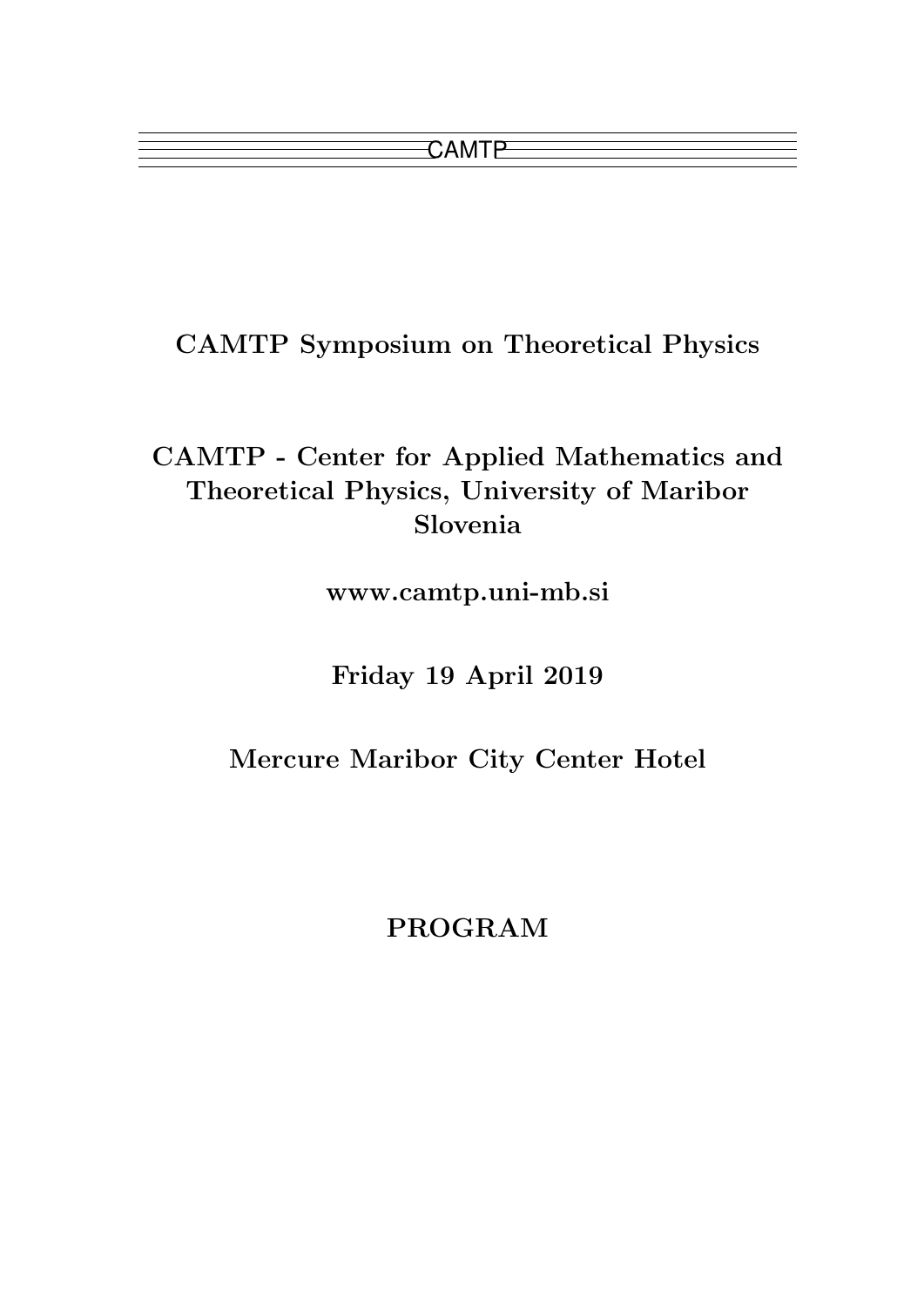CAMTP Symposium on Theoretical Physics

# CAMTP - Center for Applied Mathematics and Theoretical Physics, University of Maribor Slovenia

www.camtp.uni-mb.si

Friday 19 April 2019

Mercure Maribor City Center Hotel

PROGRAM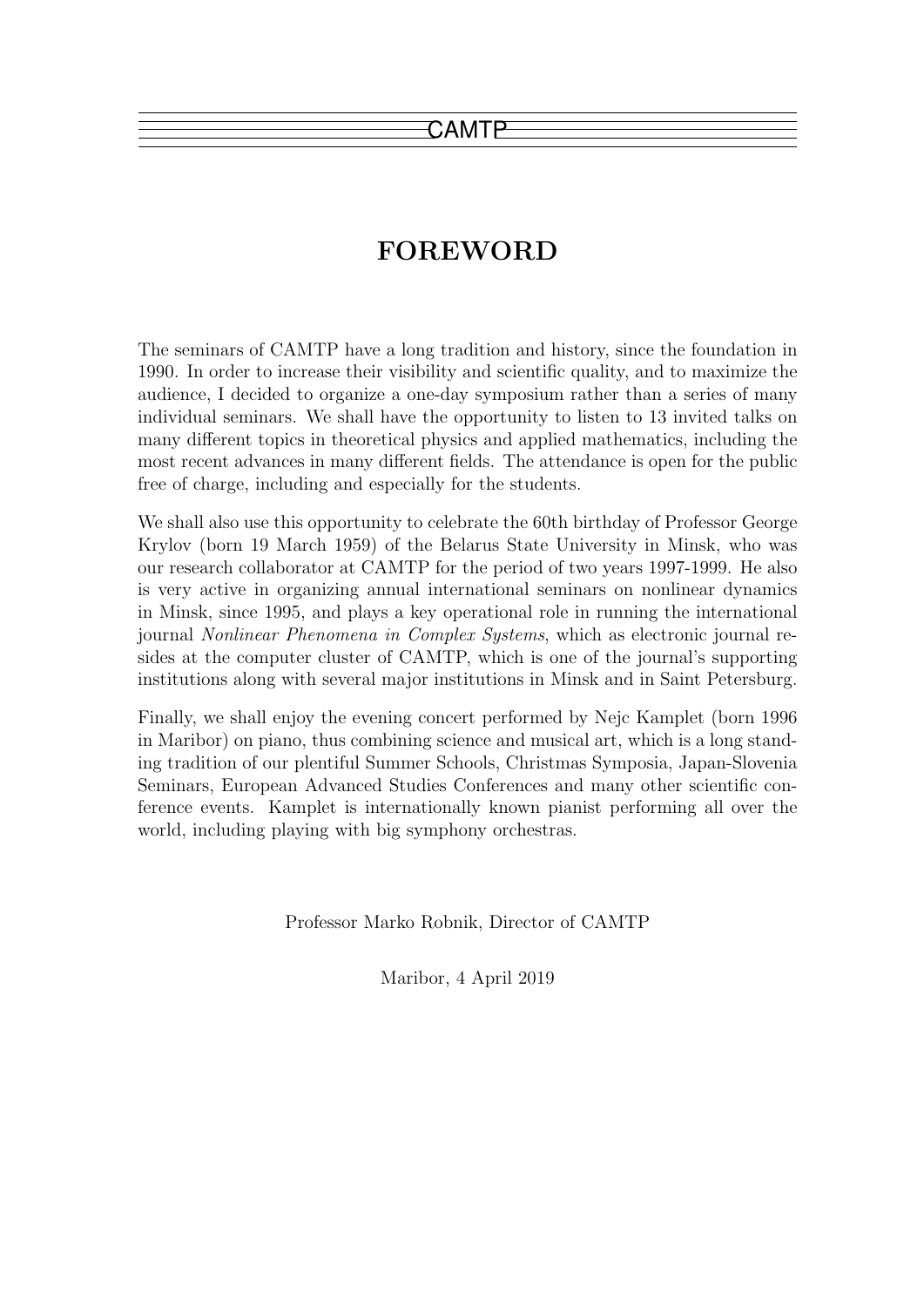# FOREWORD

The seminars of CAMTP have a long tradition and history, since the foundation in 1990. In order to increase their visibility and scientific quality, and to maximize the audience, I decided to organize a one-day symposium rather than a series of many individual seminars. We shall have the opportunity to listen to 13 invited talks on many different topics in theoretical physics and applied mathematics, including the most recent advances in many different fields. The attendance is open for the public free of charge, including and especially for the students.

We shall also use this opportunity to celebrate the 60th birthday of Professor George Krylov (born 19 March 1959) of the Belarus State University in Minsk, who was our research collaborator at CAMTP for the period of two years 1997-1999. He also is very active in organizing annual international seminars on nonlinear dynamics in Minsk, since 1995, and plays a key operational role in running the international journal Nonlinear Phenomena in Complex Systems, which as electronic journal resides at the computer cluster of CAMTP, which is one of the journal's supporting institutions along with several major institutions in Minsk and in Saint Petersburg.

Finally, we shall enjoy the evening concert performed by Nejc Kamplet (born 1996 in Maribor) on piano, thus combining science and musical art, which is a long standing tradition of our plentiful Summer Schools, Christmas Symposia, Japan-Slovenia Seminars, European Advanced Studies Conferences and many other scientific conference events. Kamplet is internationally known pianist performing all over the world, including playing with big symphony orchestras.

Professor Marko Robnik, Director of CAMTP

Maribor, 4 April 2019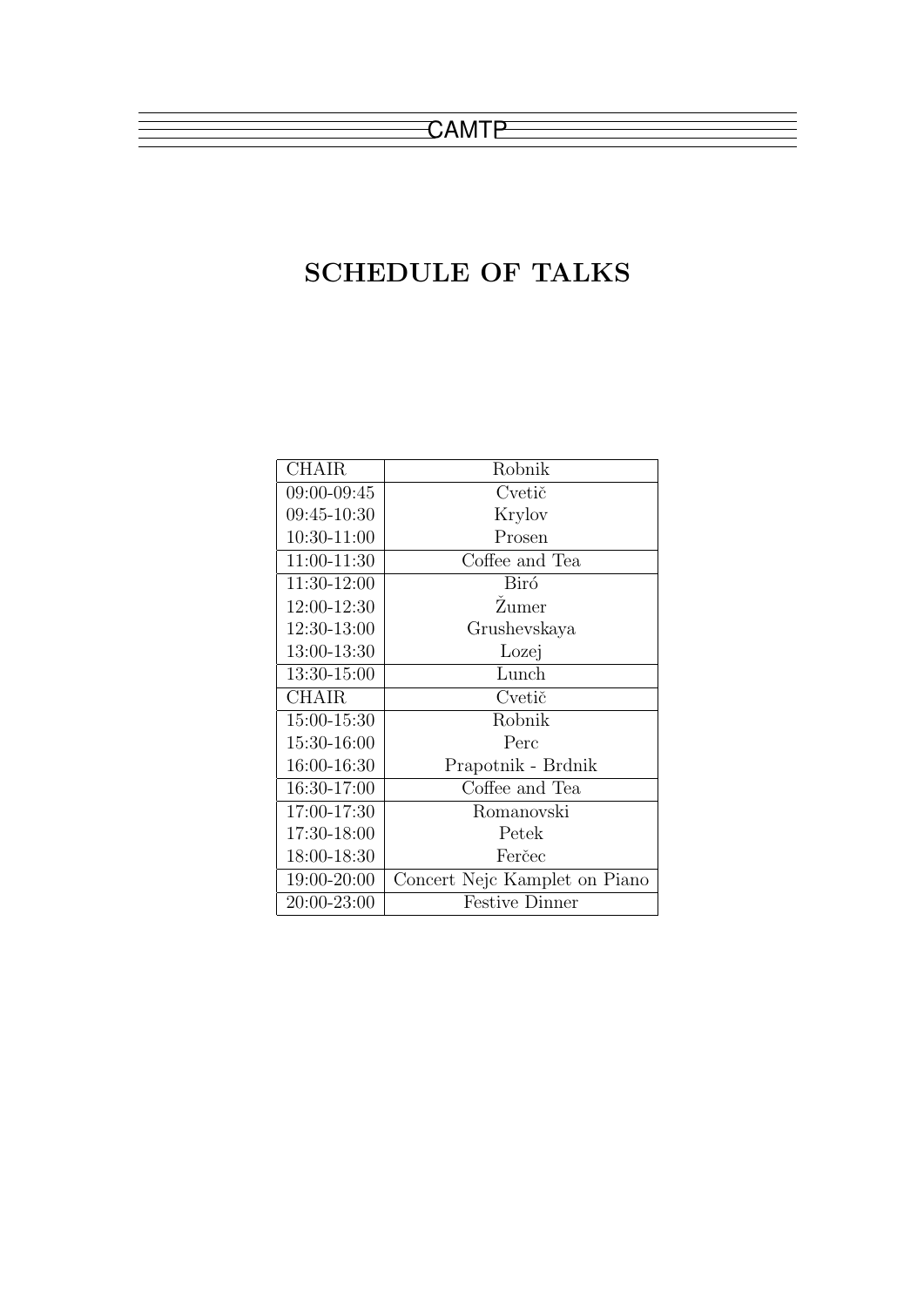# SCHEDULE OF TALKS

| <b>CHAIR</b> | Robnik                        |
|--------------|-------------------------------|
| 09:00-09:45  | Cvetič                        |
| 09:45-10:30  | Krylov                        |
| 10:30-11:00  | Prosen                        |
| 11:00-11:30  | Coffee and Tea                |
| 11:30-12:00  | Biró                          |
| 12:00-12:30  | Žumer                         |
| 12:30-13:00  | Grushevskaya                  |
| 13:00-13:30  | Lozej                         |
| 13:30-15:00  | Lunch                         |
| <b>CHAIR</b> | Cvetič                        |
| 15:00-15:30  | Robnik                        |
| 15:30-16:00  | Perc                          |
| 16:00-16:30  | Prapotnik - Brdnik            |
| 16:30-17:00  | Coffee and Tea                |
| 17:00-17:30  | Romanovski                    |
| 17:30-18:00  | Petek                         |
| 18:00-18:30  | Ferčec                        |
| 19:00-20:00  | Concert Nejc Kamplet on Piano |
| 20:00-23:00  | <b>Festive Dinner</b>         |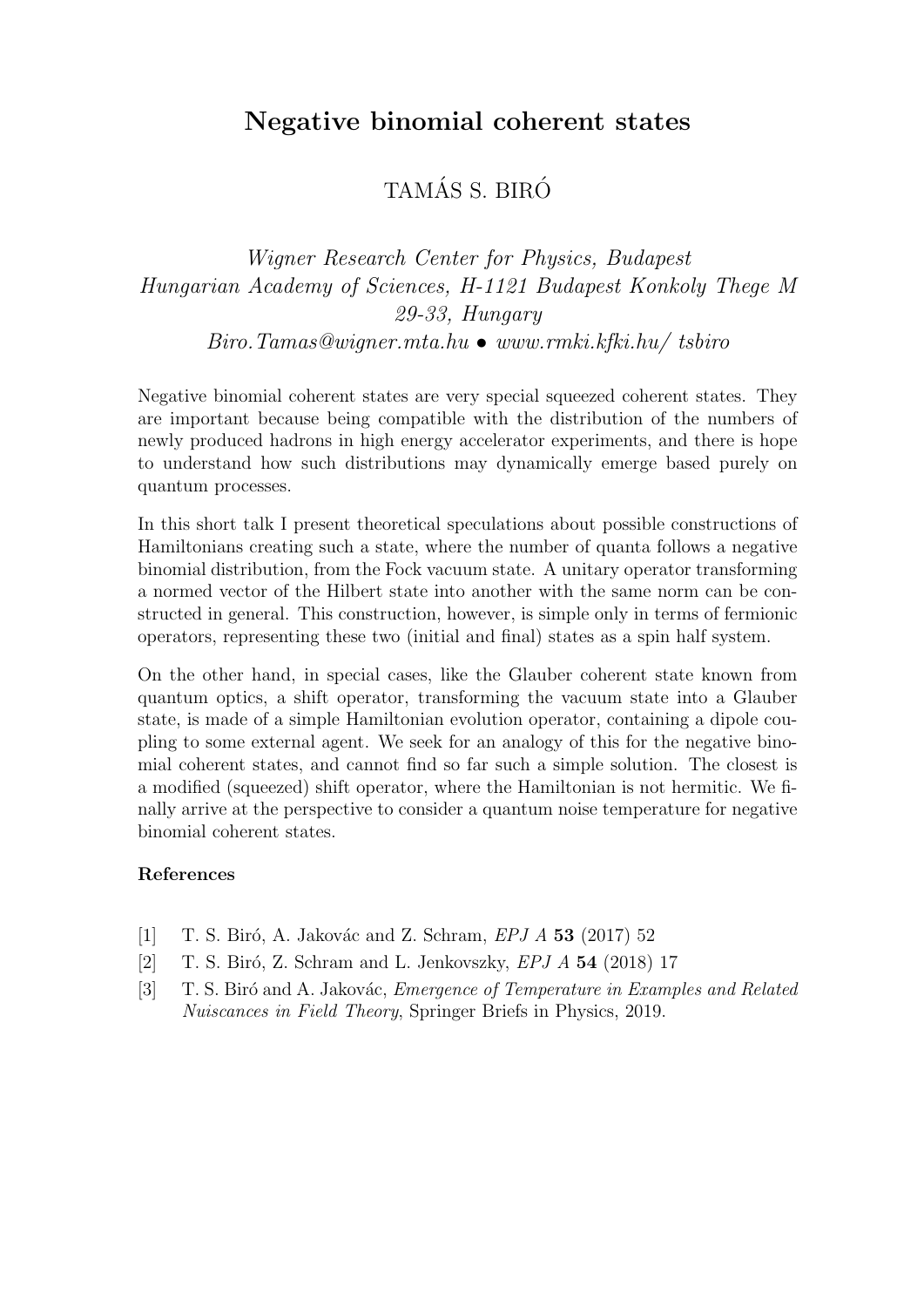## Negative binomial coherent states

## TAMÁS S. BIRÓ

## Wigner Research Center for Physics, Budapest Hungarian Academy of Sciences, H-1121 Budapest Konkoly Thege M 29-33, Hungary  $Biro. Tamas@wigner.mta.hu \bullet www.rmki.kfki.hu/tsbiro$

Negative binomial coherent states are very special squeezed coherent states. They are important because being compatible with the distribution of the numbers of newly produced hadrons in high energy accelerator experiments, and there is hope to understand how such distributions may dynamically emerge based purely on quantum processes.

In this short talk I present theoretical speculations about possible constructions of Hamiltonians creating such a state, where the number of quanta follows a negative binomial distribution, from the Fock vacuum state. A unitary operator transforming a normed vector of the Hilbert state into another with the same norm can be constructed in general. This construction, however, is simple only in terms of fermionic operators, representing these two (initial and final) states as a spin half system.

On the other hand, in special cases, like the Glauber coherent state known from quantum optics, a shift operator, transforming the vacuum state into a Glauber state, is made of a simple Hamiltonian evolution operator, containing a dipole coupling to some external agent. We seek for an analogy of this for the negative binomial coherent states, and cannot find so far such a simple solution. The closest is a modified (squeezed) shift operator, where the Hamiltonian is not hermitic. We finally arrive at the perspective to consider a quantum noise temperature for negative binomial coherent states.

- [1] T. S. Biró, A. Jakovác and Z. Schram,  $EPIA$  53 (2017) 52
- [2]  $T. S. Biró, Z. Schram and L. Jenkovszky, *EPJ A* **54** (2018) 17$
- [3] T. S. Biró and A. Jakovác, *Emergence of Temperature in Examples and Related* Nuiscances in Field Theory, Springer Briefs in Physics, 2019.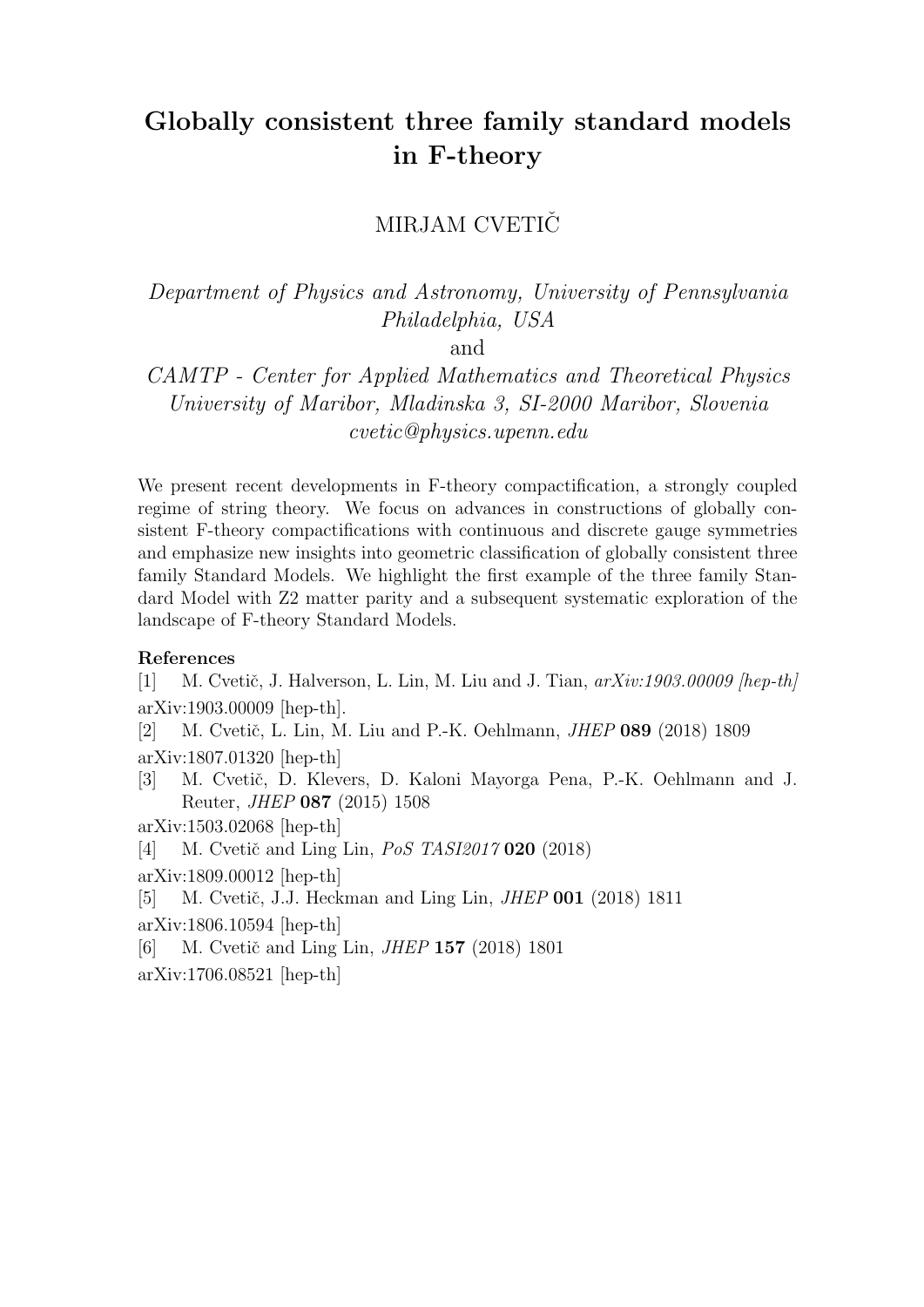# Globally consistent three family standard models in F-theory

MIRJAM CVETIČ

Department of Physics and Astronomy, University of Pennsylvania Philadelphia, USA

and

CAMTP - Center for Applied Mathematics and Theoretical Physics University of Maribor, Mladinska 3, SI-2000 Maribor, Slovenia cvetic@physics.upenn.edu

We present recent developments in F-theory compactification, a strongly coupled regime of string theory. We focus on advances in constructions of globally consistent F-theory compactifications with continuous and discrete gauge symmetries and emphasize new insights into geometric classification of globally consistent three family Standard Models. We highlight the first example of the three family Standard Model with Z2 matter parity and a subsequent systematic exploration of the landscape of F-theory Standard Models.

#### References

[1] M. Cvetič, J. Halverson, L. Lin, M. Liu and J. Tian,  $arXiv:1903.00009$  [hep-th] arXiv:1903.00009 [hep-th].

[2] M. Cvetič, L. Lin, M. Liu and P.-K. Oehlmann, *JHEP* 089 (2018) 1809

arXiv:1807.01320 [hep-th]

[3] M. Cvetič, D. Klevers, D. Kaloni Mayorga Pena, P.-K. Oehlmann and J. Reuter, JHEP 087 (2015) 1508

arXiv:1503.02068 [hep-th]

[4] M. Cvetič and Ling Lin,  $PoS$  TASI2017 020 (2018)

arXiv:1809.00012 [hep-th]

[5] M. Cvetič, J.J. Heckman and Ling Lin, *JHEP* 001 (2018) 1811

arXiv:1806.10594 [hep-th]

[6] M. Cvetič and Ling Lin, *JHEP* 157 (2018) 1801

arXiv:1706.08521 [hep-th]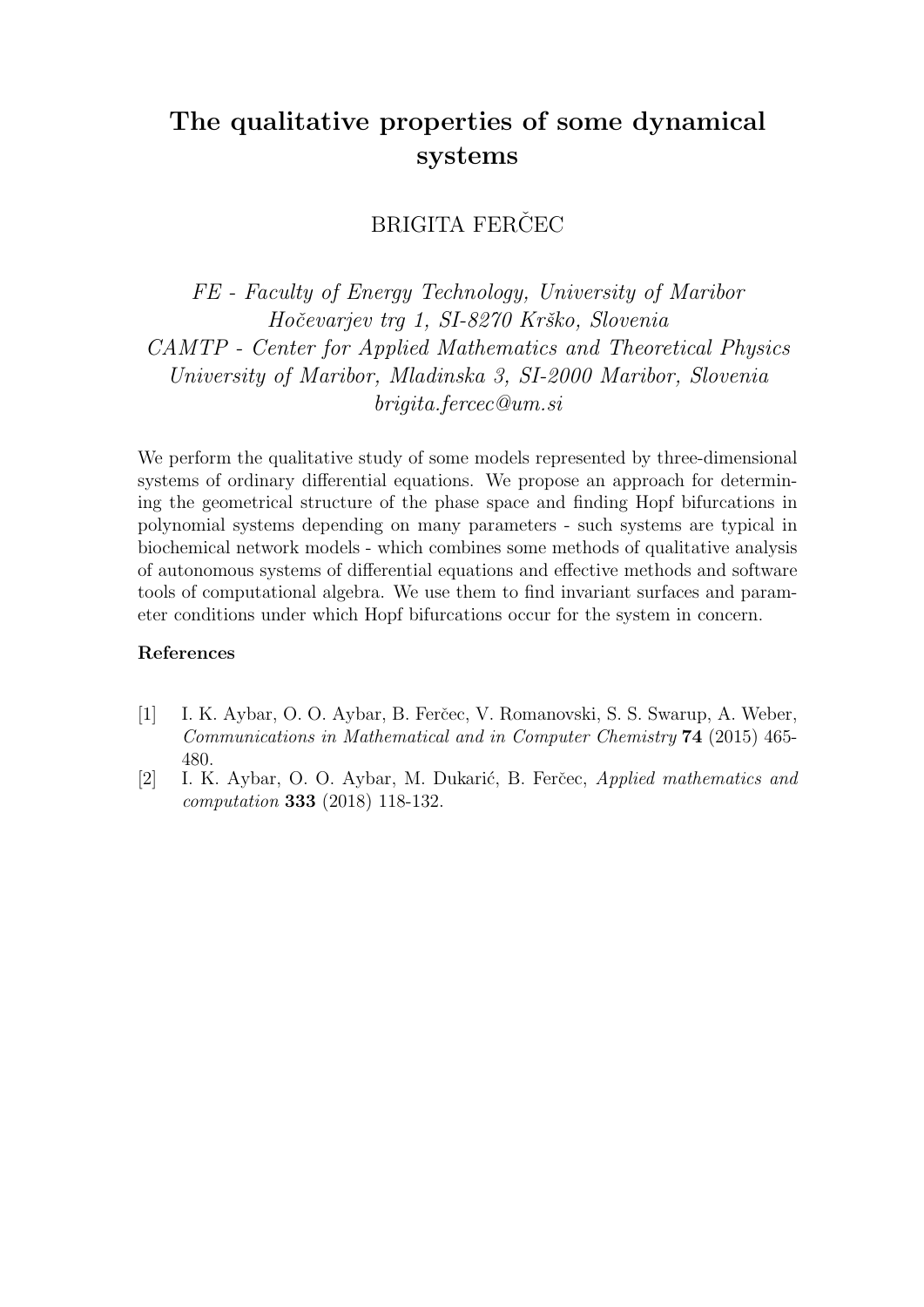# The qualitative properties of some dynamical systems

### BRIGITA FERČEC

FE - Faculty of Energy Technology, University of Maribor Hočevarjev trg 1, SI-8270 Krško, Slovenia CAMTP - Center for Applied Mathematics and Theoretical Physics University of Maribor, Mladinska 3, SI-2000 Maribor, Slovenia brigita.fercec@um.si

We perform the qualitative study of some models represented by three-dimensional systems of ordinary differential equations. We propose an approach for determining the geometrical structure of the phase space and finding Hopf bifurcations in polynomial systems depending on many parameters - such systems are typical in biochemical network models - which combines some methods of qualitative analysis of autonomous systems of differential equations and effective methods and software tools of computational algebra. We use them to find invariant surfaces and parameter conditions under which Hopf bifurcations occur for the system in concern.

- [1] I. K. Aybar, O. O. Aybar, B. Ferčec, V. Romanovski, S. S. Swarup, A. Weber, Communications in Mathematical and in Computer Chemistry 74 (2015) 465- 480.
- [2] I. K. Aybar, O. O. Aybar, M. Dukarić, B. Ferčec, Applied mathematics and computation 333 (2018) 118-132.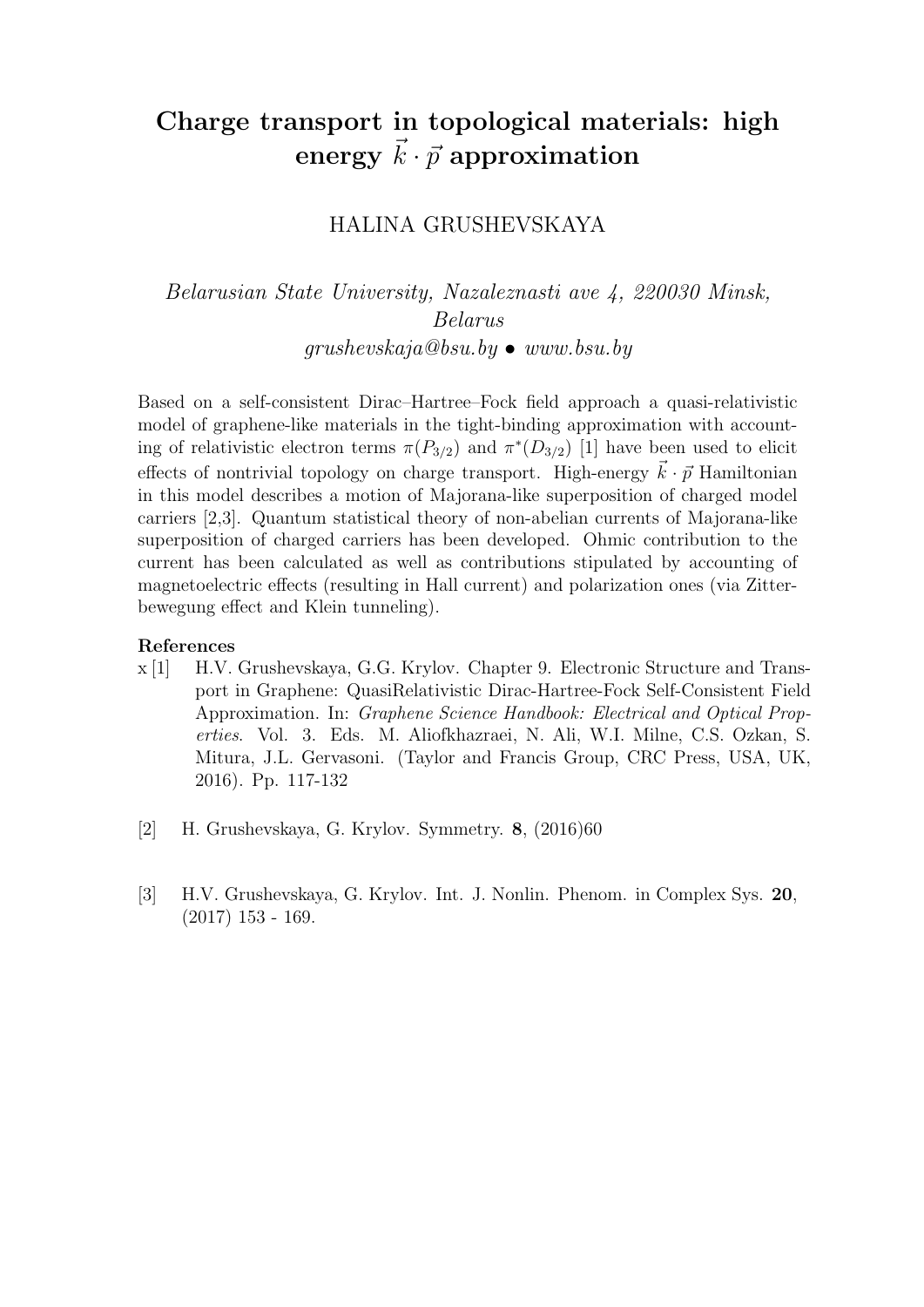# Charge transport in topological materials: high energy  $\vec{k} \cdot \vec{p}$  approximation

### HALINA GRUSHEVSKAYA

Belarusian State University, Nazaleznasti ave 4, 220030 Minsk, Belarus  $grushevskaja@bsu.bu \bullet www.bsu.bu$ 

Based on a self-consistent Dirac–Hartree–Fock field approach a quasi-relativistic model of graphene-like materials in the tight-binding approximation with accounting of relativistic electron terms  $\pi(P_{3/2})$  and  $\pi^*(D_{3/2})$  [1] have been used to elicit effects of nontrivial topology on charge transport. High-energy  $\vec{k} \cdot \vec{p}$  Hamiltonian in this model describes a motion of Majorana-like superposition of charged model carriers [2,3]. Quantum statistical theory of non-abelian currents of Majorana-like superposition of charged carriers has been developed. Ohmic contribution to the current has been calculated as well as contributions stipulated by accounting of magnetoelectric effects (resulting in Hall current) and polarization ones (via Zitterbewegung effect and Klein tunneling).

- x [1] H.V. Grushevskaya, G.G. Krylov. Chapter 9. Electronic Structure and Transport in Graphene: QuasiRelativistic Dirac-Hartree-Fock Self-Consistent Field Approximation. In: Graphene Science Handbook: Electrical and Optical Properties. Vol. 3. Eds. M. Aliofkhazraei, N. Ali, W.I. Milne, C.S. Ozkan, S. Mitura, J.L. Gervasoni. (Taylor and Francis Group, CRC Press, USA, UK, 2016). Pp. 117-132
- [2] H. Grushevskaya, G. Krylov. Symmetry. 8, (2016)60
- [3] H.V. Grushevskaya, G. Krylov. Int. J. Nonlin. Phenom. in Complex Sys. 20, (2017) 153 - 169.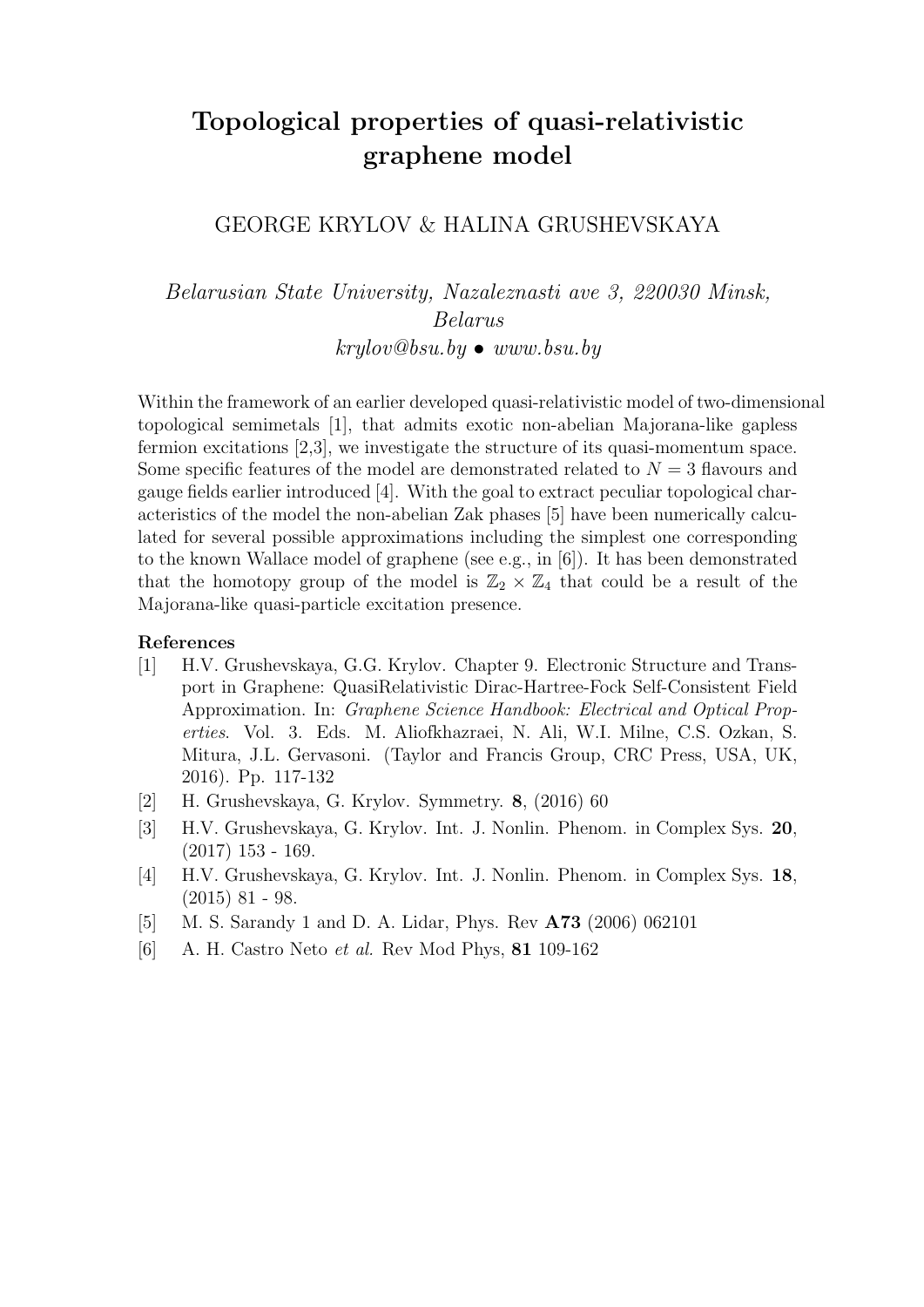# Topological properties of quasi-relativistic graphene model

### GEORGE KRYLOV & HALINA GRUSHEVSKAYA

Belarusian State University, Nazaleznasti ave 3, 220030 Minsk, Belarus  $krilov@bsu.bu \bullet www.bsu.bu$ 

Within the framework of an earlier developed quasi-relativistic model of two-dimensional topological semimetals [1], that admits exotic non-abelian Majorana-like gapless fermion excitations [2,3], we investigate the structure of its quasi-momentum space. Some specific features of the model are demonstrated related to  $N = 3$  flavours and gauge fields earlier introduced [4]. With the goal to extract peculiar topological characteristics of the model the non-abelian Zak phases [5] have been numerically calculated for several possible approximations including the simplest one corresponding to the known Wallace model of graphene (see e.g., in [6]). It has been demonstrated that the homotopy group of the model is  $\mathbb{Z}_2 \times \mathbb{Z}_4$  that could be a result of the Majorana-like quasi-particle excitation presence.

- [1] H.V. Grushevskaya, G.G. Krylov. Chapter 9. Electronic Structure and Transport in Graphene: QuasiRelativistic Dirac-Hartree-Fock Self-Consistent Field Approximation. In: Graphene Science Handbook: Electrical and Optical Properties. Vol. 3. Eds. M. Aliofkhazraei, N. Ali, W.I. Milne, C.S. Ozkan, S. Mitura, J.L. Gervasoni. (Taylor and Francis Group, CRC Press, USA, UK, 2016). Pp. 117-132
- [2] H. Grushevskaya, G. Krylov. Symmetry. 8, (2016) 60
- [3] H.V. Grushevskaya, G. Krylov. Int. J. Nonlin. Phenom. in Complex Sys. 20,  $(2017)$  153 - 169.
- [4] H.V. Grushevskaya, G. Krylov. Int. J. Nonlin. Phenom. in Complex Sys. 18, (2015) 81 - 98.
- [5] M. S. Sarandy 1 and D. A. Lidar, Phys. Rev A73 (2006) 062101
- [6] A. H. Castro Neto et al. Rev Mod Phys, 81 109-162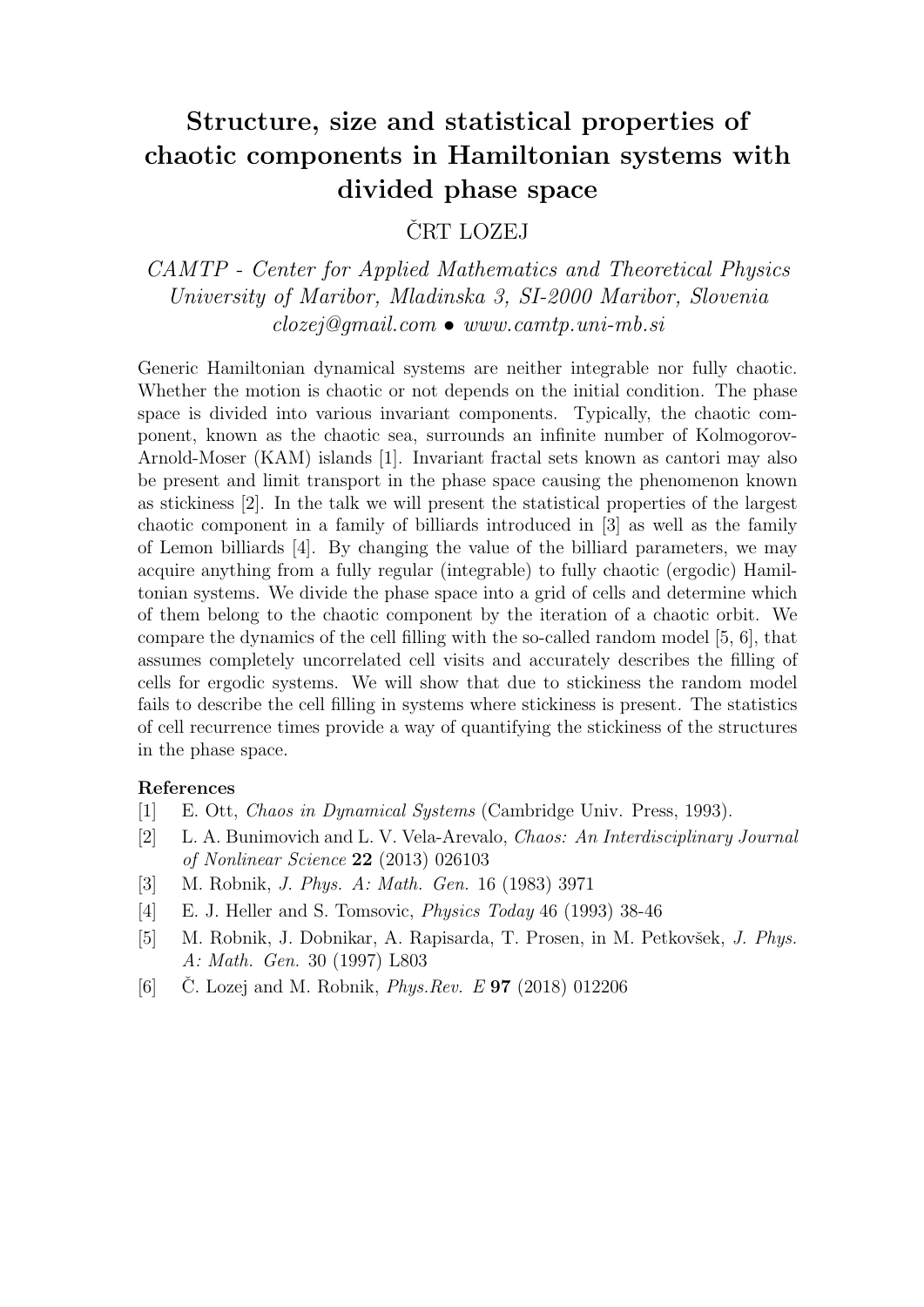# Structure, size and statistical properties of chaotic components in Hamiltonian systems with divided phase space

### ČRT LOZEJ

CAMTP - Center for Applied Mathematics and Theoretical Physics University of Maribor, Mladinska 3, SI-2000 Maribor, Slovenia  $closej@qmail.com$  • www.camtp.uni-mb.si

Generic Hamiltonian dynamical systems are neither integrable nor fully chaotic. Whether the motion is chaotic or not depends on the initial condition. The phase space is divided into various invariant components. Typically, the chaotic component, known as the chaotic sea, surrounds an infinite number of Kolmogorov-Arnold-Moser (KAM) islands [1]. Invariant fractal sets known as cantori may also be present and limit transport in the phase space causing the phenomenon known as stickiness [2]. In the talk we will present the statistical properties of the largest chaotic component in a family of billiards introduced in [3] as well as the family of Lemon billiards [4]. By changing the value of the billiard parameters, we may acquire anything from a fully regular (integrable) to fully chaotic (ergodic) Hamiltonian systems. We divide the phase space into a grid of cells and determine which of them belong to the chaotic component by the iteration of a chaotic orbit. We compare the dynamics of the cell filling with the so-called random model [5, 6], that assumes completely uncorrelated cell visits and accurately describes the filling of cells for ergodic systems. We will show that due to stickiness the random model fails to describe the cell filling in systems where stickiness is present. The statistics of cell recurrence times provide a way of quantifying the stickiness of the structures in the phase space.

- [1] E. Ott, Chaos in Dynamical Systems (Cambridge Univ. Press, 1993).
- [2] L. A. Bunimovich and L. V. Vela-Arevalo, Chaos: An Interdisciplinary Journal of Nonlinear Science 22 (2013) 026103
- [3] M. Robnik, J. Phys. A: Math. Gen. 16 (1983) 3971
- [4] E. J. Heller and S. Tomsovic, Physics Today 46 (1993) 38-46
- [5] M. Robnik, J. Dobnikar, A. Rapisarda, T. Prosen, in M. Petkovšek, *J. Phys.* A: Math. Gen. 30 (1997) L803
- [6] C. Lozej and M. Robnik, *Phys.Rev. E* **97** (2018) 012206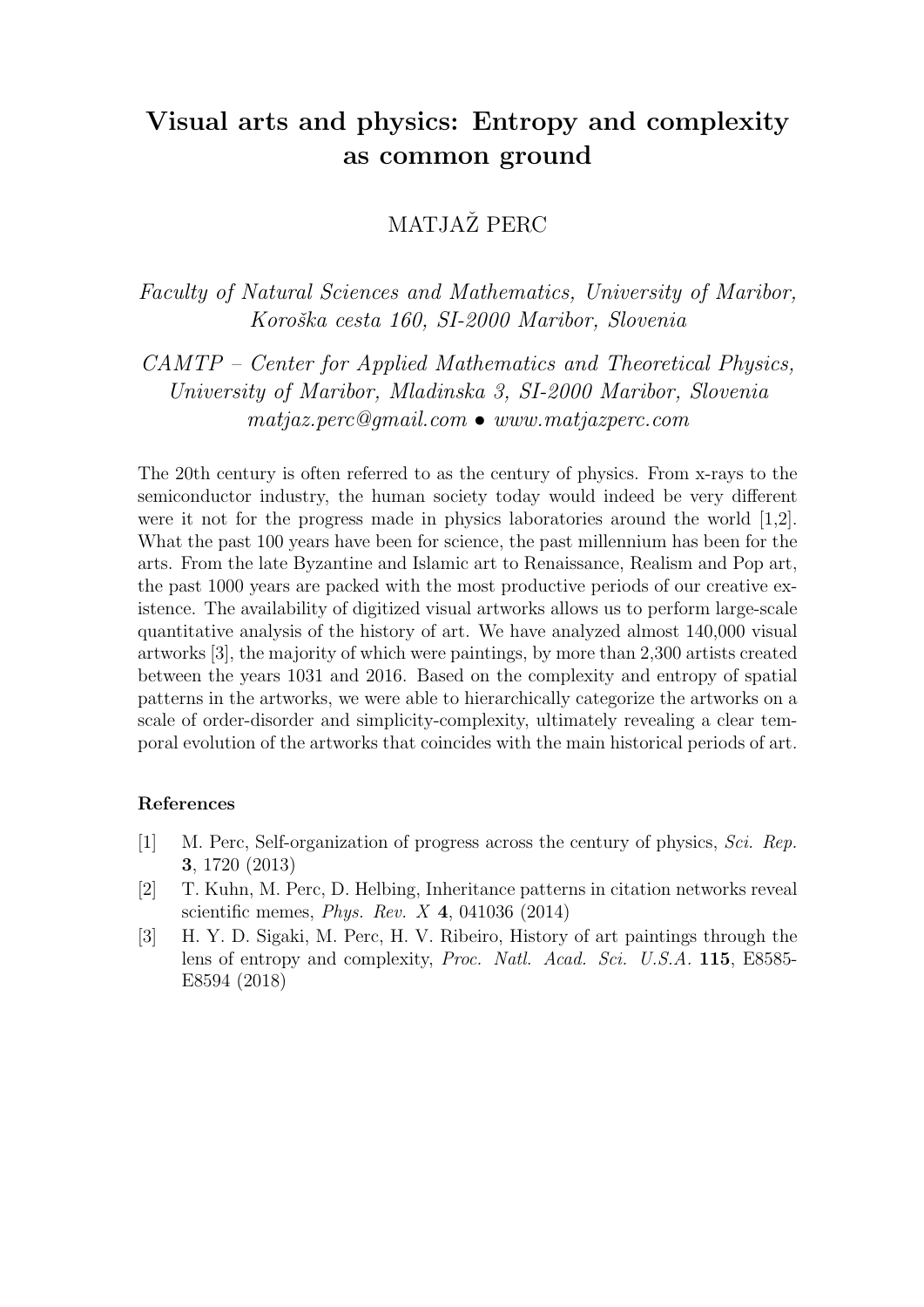## Visual arts and physics: Entropy and complexity as common ground

### MATJAŽ PERC

Faculty of Natural Sciences and Mathematics, University of Maribor, Koroška cesta 160, SI-2000 Maribor, Slovenia

CAMTP – Center for Applied Mathematics and Theoretical Physics, University of Maribor, Mladinska 3, SI-2000 Maribor, Slovenia matjaz.perc@gmail.com • www.matjazperc.com

The 20th century is often referred to as the century of physics. From x-rays to the semiconductor industry, the human society today would indeed be very different were it not for the progress made in physics laboratories around the world [1,2]. What the past 100 years have been for science, the past millennium has been for the arts. From the late Byzantine and Islamic art to Renaissance, Realism and Pop art, the past 1000 years are packed with the most productive periods of our creative existence. The availability of digitized visual artworks allows us to perform large-scale quantitative analysis of the history of art. We have analyzed almost 140,000 visual artworks [3], the majority of which were paintings, by more than 2,300 artists created between the years 1031 and 2016. Based on the complexity and entropy of spatial patterns in the artworks, we were able to hierarchically categorize the artworks on a scale of order-disorder and simplicity-complexity, ultimately revealing a clear temporal evolution of the artworks that coincides with the main historical periods of art.

- [1] M. Perc, Self-organization of progress across the century of physics, Sci. Rep. 3, 1720 (2013)
- [2] T. Kuhn, M. Perc, D. Helbing, Inheritance patterns in citation networks reveal scientific memes, *Phys. Rev. X* 4, 041036 (2014)
- [3] H. Y. D. Sigaki, M. Perc, H. V. Ribeiro, History of art paintings through the lens of entropy and complexity, Proc. Natl. Acad. Sci. U.S.A. 115, E8585-E8594 (2018)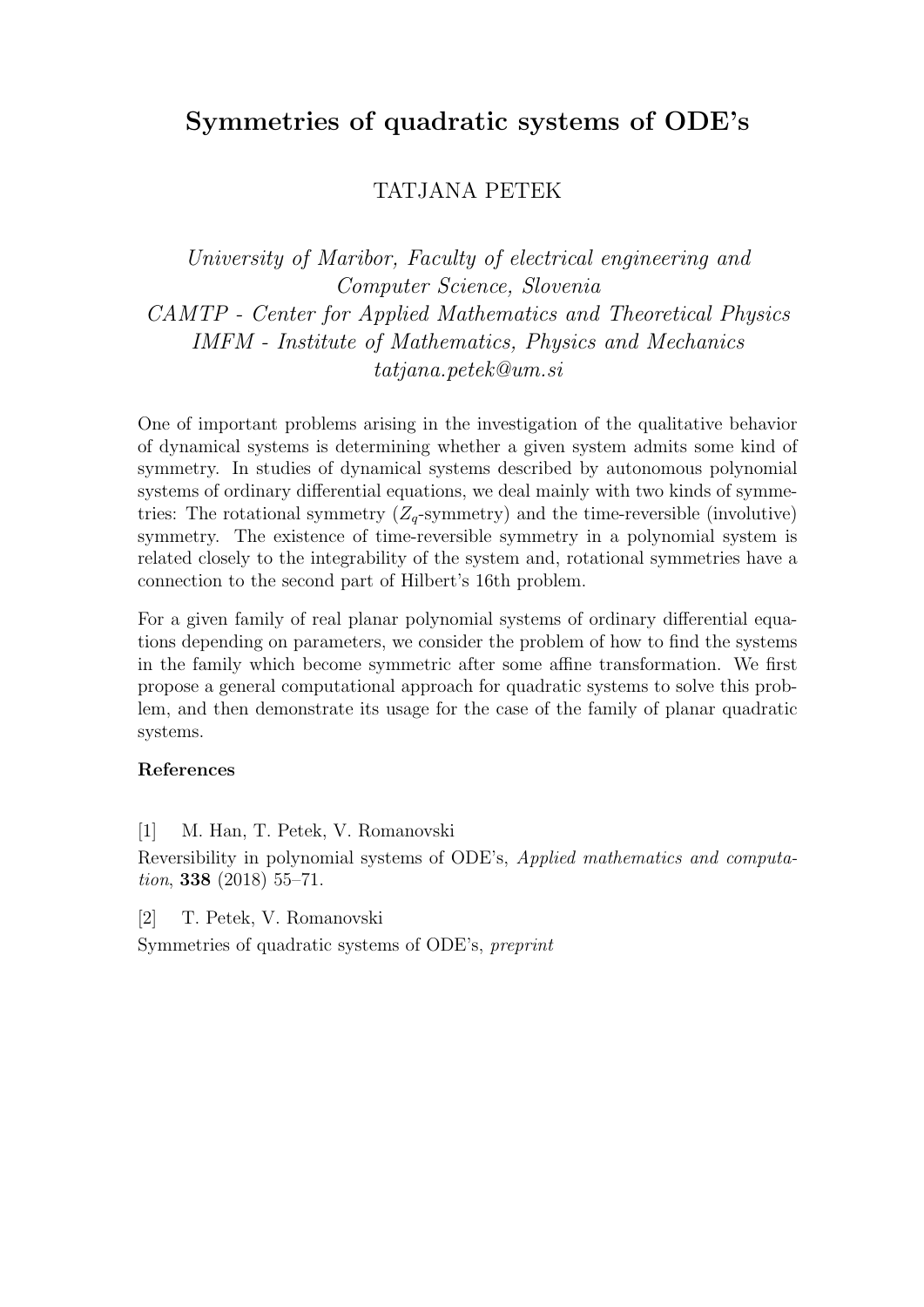## Symmetries of quadratic systems of ODE's

### TATJANA PETEK

University of Maribor, Faculty of electrical engineering and Computer Science, Slovenia CAMTP - Center for Applied Mathematics and Theoretical Physics IMFM - Institute of Mathematics, Physics and Mechanics tatjana.petek@um.si

One of important problems arising in the investigation of the qualitative behavior of dynamical systems is determining whether a given system admits some kind of symmetry. In studies of dynamical systems described by autonomous polynomial systems of ordinary differential equations, we deal mainly with two kinds of symmetries: The rotational symmetry  $(Z_q$ -symmetry) and the time-reversible (involutive) symmetry. The existence of time-reversible symmetry in a polynomial system is related closely to the integrability of the system and, rotational symmetries have a connection to the second part of Hilbert's 16th problem.

For a given family of real planar polynomial systems of ordinary differential equations depending on parameters, we consider the problem of how to find the systems in the family which become symmetric after some affine transformation. We first propose a general computational approach for quadratic systems to solve this problem, and then demonstrate its usage for the case of the family of planar quadratic systems.

#### References

[1] M. Han, T. Petek, V. Romanovski

Reversibility in polynomial systems of ODE's, Applied mathematics and computation, **338** (2018) 55-71.

[2] T. Petek, V. Romanovski

Symmetries of quadratic systems of ODE's, preprint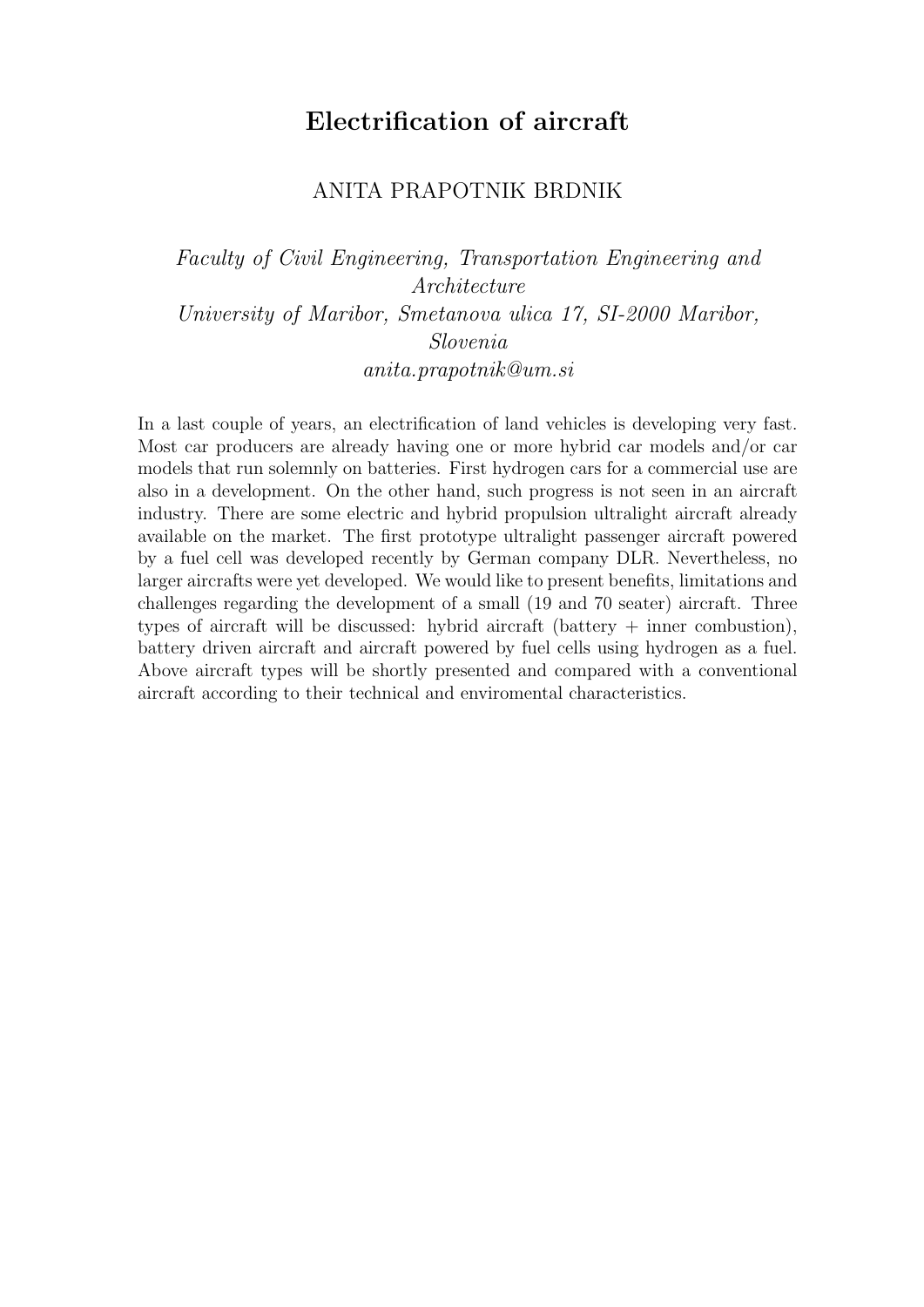## Electrification of aircraft

### ANITA PRAPOTNIK BRDNIK

Faculty of Civil Engineering, Transportation Engineering and Architecture University of Maribor, Smetanova ulica 17, SI-2000 Maribor, Slovenia anita.prapotnik@um.si

In a last couple of years, an electrification of land vehicles is developing very fast. Most car producers are already having one or more hybrid car models and/or car models that run solemnly on batteries. First hydrogen cars for a commercial use are also in a development. On the other hand, such progress is not seen in an aircraft industry. There are some electric and hybrid propulsion ultralight aircraft already available on the market. The first prototype ultralight passenger aircraft powered by a fuel cell was developed recently by German company DLR. Nevertheless, no larger aircrafts were yet developed. We would like to present benefits, limitations and challenges regarding the development of a small (19 and 70 seater) aircraft. Three types of aircraft will be discussed: hybrid aircraft (battery + inner combustion), battery driven aircraft and aircraft powered by fuel cells using hydrogen as a fuel. Above aircraft types will be shortly presented and compared with a conventional aircraft according to their technical and enviromental characteristics.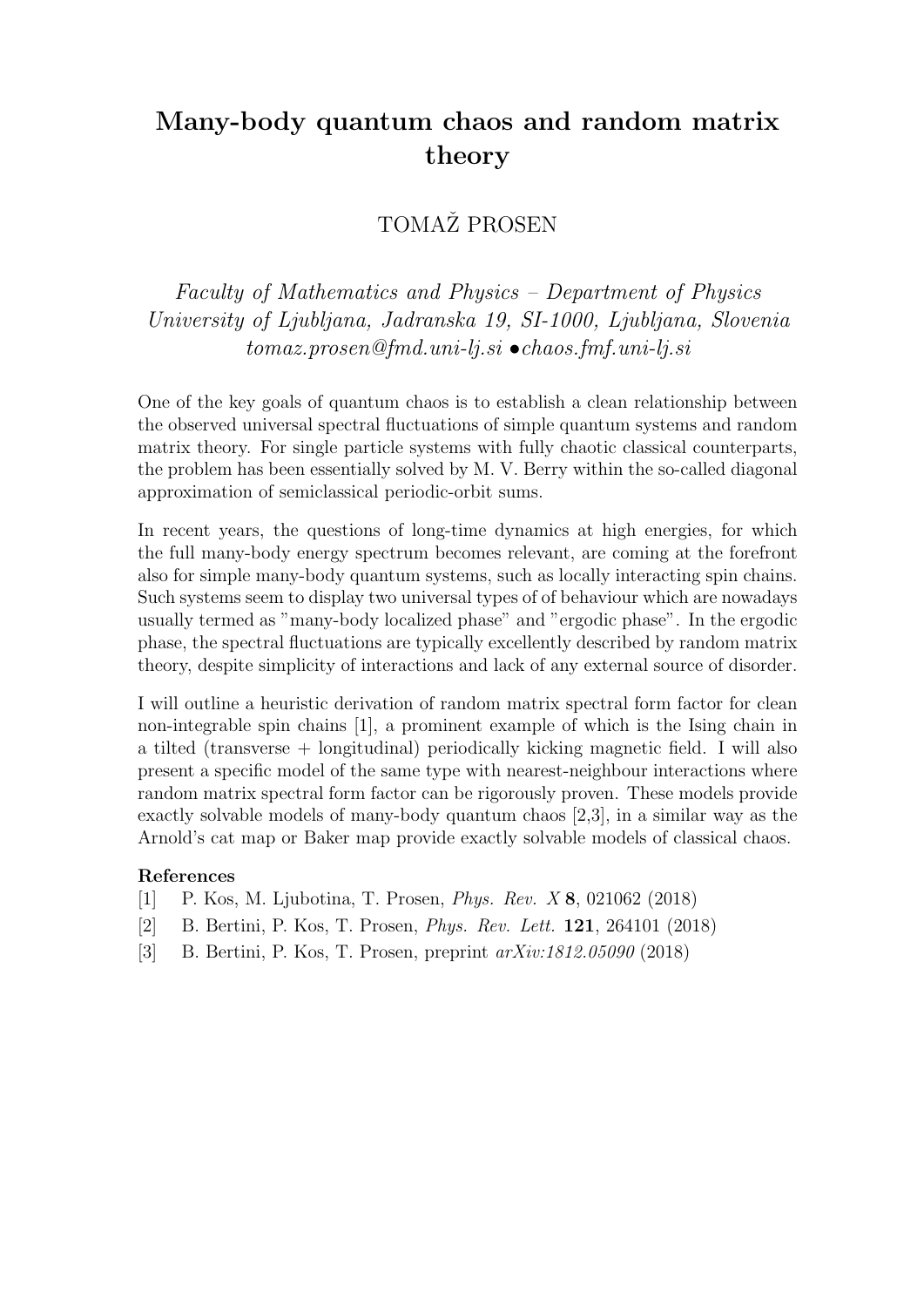# Many-body quantum chaos and random matrix theory

### TOMAŽ PROSEN

Faculty of Mathematics and Physics – Department of Physics University of Ljubljana, Jadranska 19, SI-1000, Ljubljana, Slovenia  $tomaz. prosen@fmd.uni-li.si \bullet chaos.fmf.uni-li.si$ 

One of the key goals of quantum chaos is to establish a clean relationship between the observed universal spectral fluctuations of simple quantum systems and random matrix theory. For single particle systems with fully chaotic classical counterparts, the problem has been essentially solved by M. V. Berry within the so-called diagonal approximation of semiclassical periodic-orbit sums.

In recent years, the questions of long-time dynamics at high energies, for which the full many-body energy spectrum becomes relevant, are coming at the forefront also for simple many-body quantum systems, such as locally interacting spin chains. Such systems seem to display two universal types of of behaviour which are nowadays usually termed as "many-body localized phase" and "ergodic phase". In the ergodic phase, the spectral fluctuations are typically excellently described by random matrix theory, despite simplicity of interactions and lack of any external source of disorder.

I will outline a heuristic derivation of random matrix spectral form factor for clean non-integrable spin chains [1], a prominent example of which is the Ising chain in a tilted (transverse + longitudinal) periodically kicking magnetic field. I will also present a specific model of the same type with nearest-neighbour interactions where random matrix spectral form factor can be rigorously proven. These models provide exactly solvable models of many-body quantum chaos [2,3], in a similar way as the Arnold's cat map or Baker map provide exactly solvable models of classical chaos.

- [1] P. Kos, M. Ljubotina, T. Prosen, Phys. Rev. X 8, 021062 (2018)
- [2] B. Bertini, P. Kos, T. Prosen, Phys. Rev. Lett. 121, 264101 (2018)
- [3] B. Bertini, P. Kos, T. Prosen, preprint arXiv:1812.05090 (2018)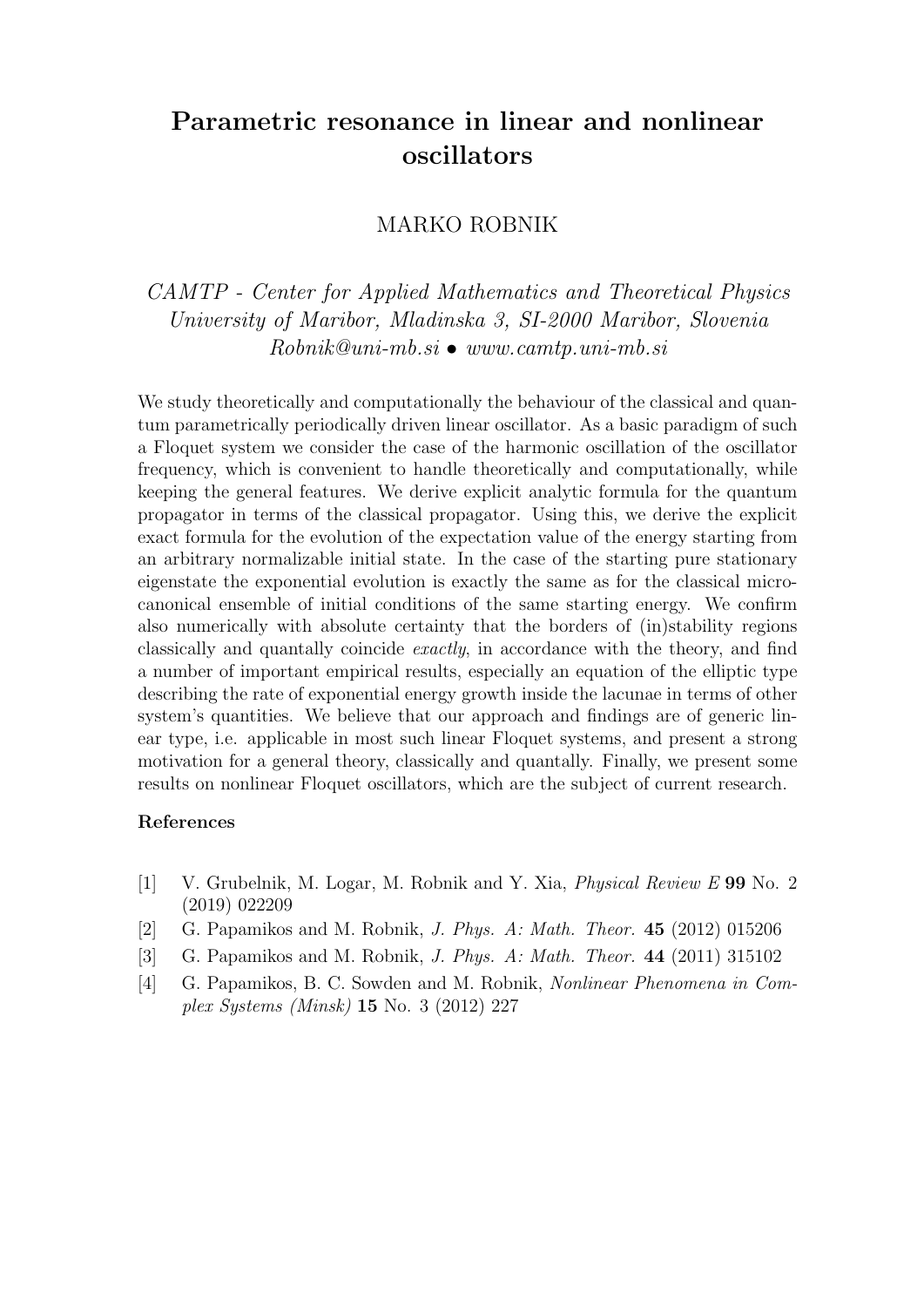# Parametric resonance in linear and nonlinear oscillators

### MARKO ROBNIK

CAMTP - Center for Applied Mathematics and Theoretical Physics University of Maribor, Mladinska 3, SI-2000 Maribor, Slovenia Robnik@uni-mb.si • www.camtp.uni-mb.si

We study theoretically and computationally the behaviour of the classical and quantum parametrically periodically driven linear oscillator. As a basic paradigm of such a Floquet system we consider the case of the harmonic oscillation of the oscillator frequency, which is convenient to handle theoretically and computationally, while keeping the general features. We derive explicit analytic formula for the quantum propagator in terms of the classical propagator. Using this, we derive the explicit exact formula for the evolution of the expectation value of the energy starting from an arbitrary normalizable initial state. In the case of the starting pure stationary eigenstate the exponential evolution is exactly the same as for the classical microcanonical ensemble of initial conditions of the same starting energy. We confirm also numerically with absolute certainty that the borders of (in)stability regions classically and quantally coincide exactly, in accordance with the theory, and find a number of important empirical results, especially an equation of the elliptic type describing the rate of exponential energy growth inside the lacunae in terms of other system's quantities. We believe that our approach and findings are of generic linear type, i.e. applicable in most such linear Floquet systems, and present a strong motivation for a general theory, classically and quantally. Finally, we present some results on nonlinear Floquet oscillators, which are the subject of current research.

- [1] V. Grubelnik, M. Logar, M. Robnik and Y. Xia, Physical Review E 99 No. 2 (2019) 022209
- [2] G. Papamikos and M. Robnik, J. Phys. A: Math. Theor. 45 (2012) 015206
- [3] G. Papamikos and M. Robnik, J. Phys. A: Math. Theor. 44 (2011) 315102
- [4] G. Papamikos, B. C. Sowden and M. Robnik, Nonlinear Phenomena in Complex Systems (Minsk) 15 No. 3 (2012) 227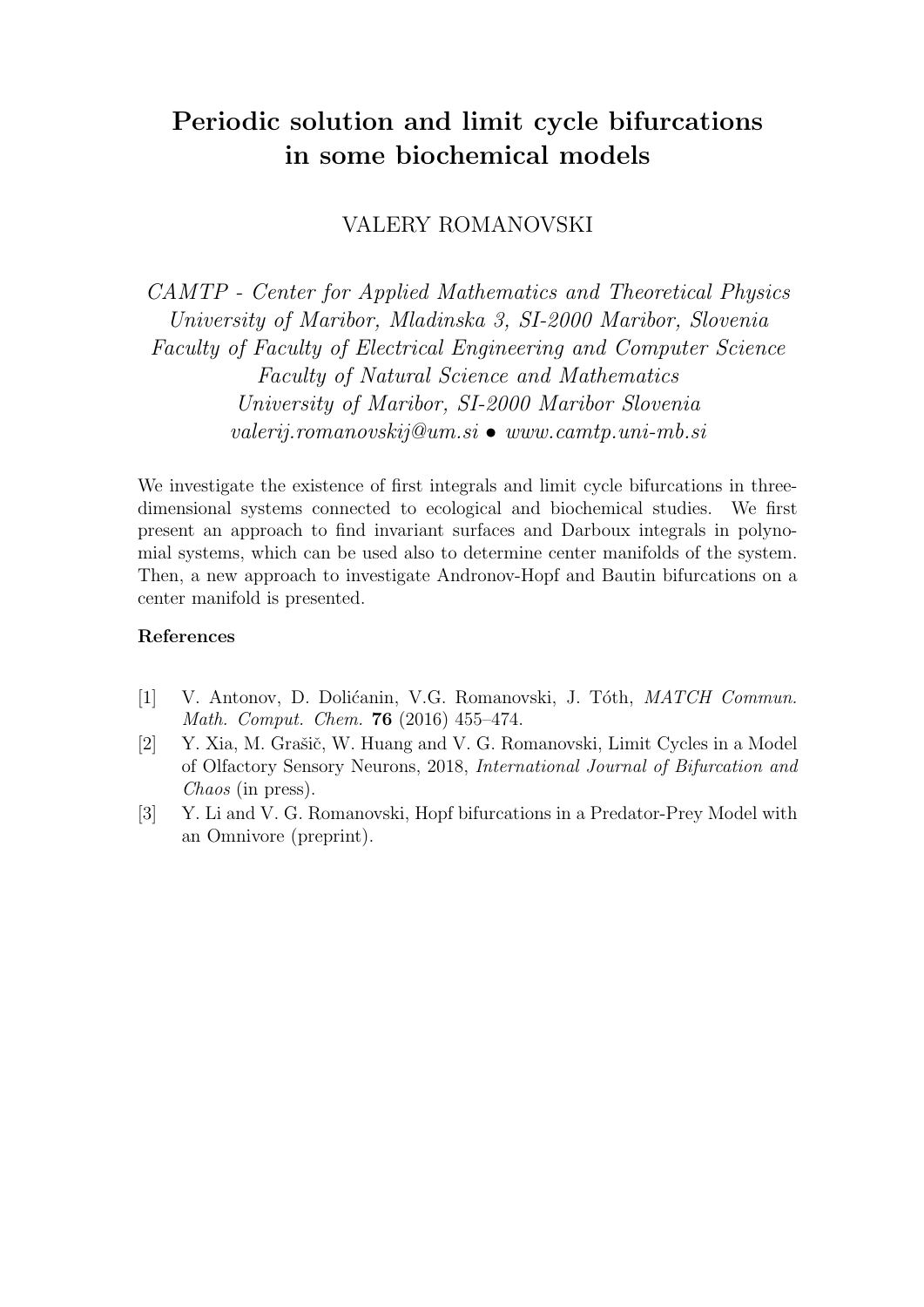# Periodic solution and limit cycle bifurcations in some biochemical models

### VALERY ROMANOVSKI

CAMTP - Center for Applied Mathematics and Theoretical Physics University of Maribor, Mladinska 3, SI-2000 Maribor, Slovenia Faculty of Faculty of Electrical Engineering and Computer Science Faculty of Natural Science and Mathematics University of Maribor, SI-2000 Maribor Slovenia  $valerij. romanovskij@um.si \bullet www. camtp.uni-mb.si$ 

We investigate the existence of first integrals and limit cycle bifurcations in threedimensional systems connected to ecological and biochemical studies. We first present an approach to find invariant surfaces and Darboux integrals in polynomial systems, which can be used also to determine center manifolds of the system. Then, a new approach to investigate Andronov-Hopf and Bautin bifurcations on a center manifold is presented.

- [1] V. Antonov, D. Dolićanin, V.G. Romanovski, J. Tóth, *MATCH Commun.* Math. Comput. Chem. 76 (2016) 455–474.
- [2] Y. Xia, M. Grašič, W. Huang and V. G. Romanovski, Limit Cycles in a Model of Olfactory Sensory Neurons, 2018, International Journal of Bifurcation and Chaos (in press).
- [3] Y. Li and V. G. Romanovski, Hopf bifurcations in a Predator-Prey Model with an Omnivore (preprint).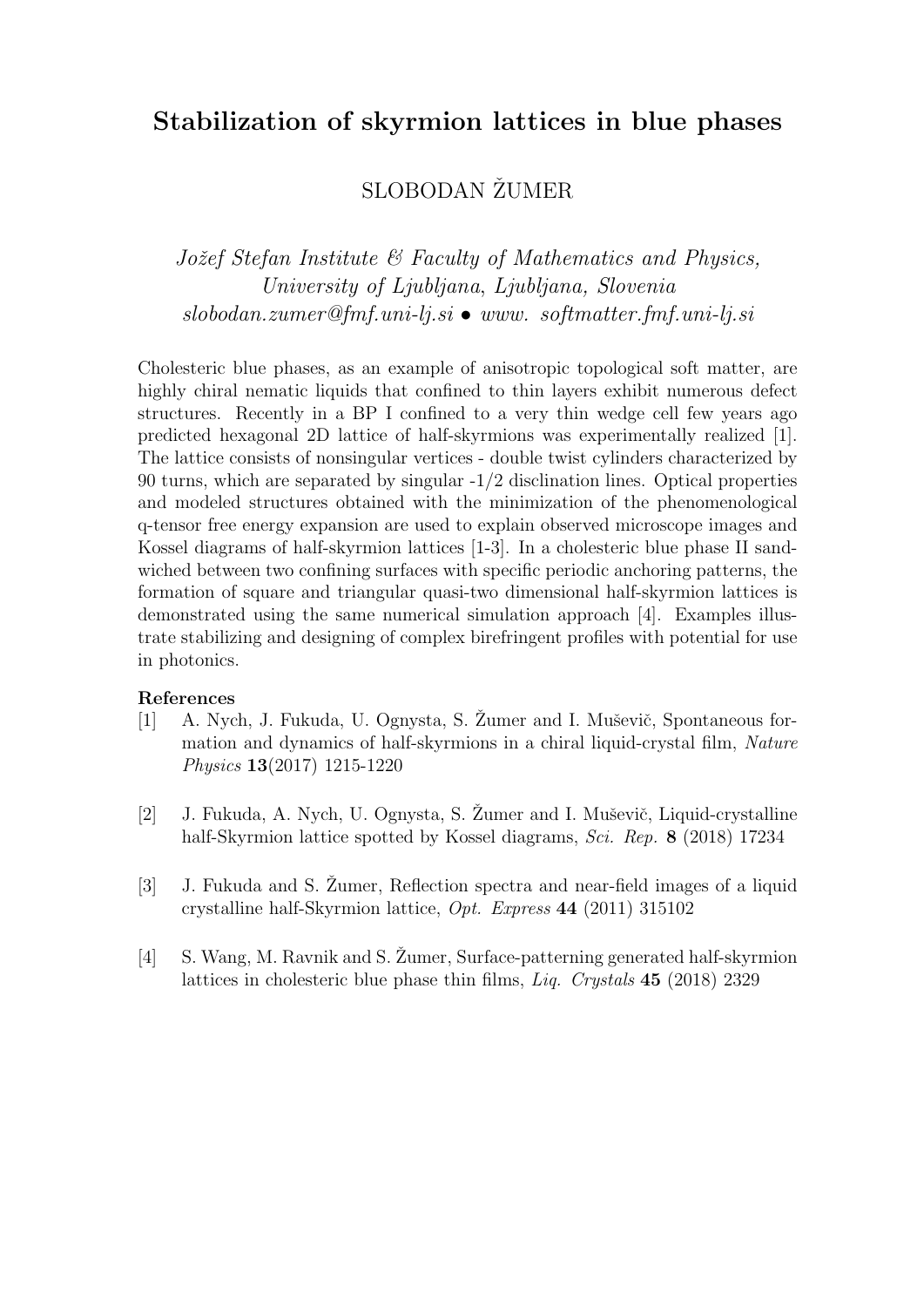## Stabilization of skyrmion lattices in blue phases

## SLOBODAN ŽUMER

Jožef Stefan Institute  $\mathcal{C}$  Faculty of Mathematics and Physics, University of Ljubljana, Ljubljana, Slovenia  $slobodan.zumer@fmf.uni-li.si \bullet www. softmatter.fmf.uni-li.si$ 

Cholesteric blue phases, as an example of anisotropic topological soft matter, are highly chiral nematic liquids that confined to thin layers exhibit numerous defect structures. Recently in a BP I confined to a very thin wedge cell few years ago predicted hexagonal 2D lattice of half-skyrmions was experimentally realized [1]. The lattice consists of nonsingular vertices - double twist cylinders characterized by 90 turns, which are separated by singular -1/2 disclination lines. Optical properties and modeled structures obtained with the minimization of the phenomenological q-tensor free energy expansion are used to explain observed microscope images and Kossel diagrams of half-skyrmion lattices [1-3]. In a cholesteric blue phase II sandwiched between two confining surfaces with specific periodic anchoring patterns, the formation of square and triangular quasi-two dimensional half-skyrmion lattices is demonstrated using the same numerical simulation approach [4]. Examples illustrate stabilizing and designing of complex birefringent profiles with potential for use in photonics.

- [1] A. Nych, J. Fukuda, U. Ognysta, S. Žumer and I. Muševič, Spontaneous formation and dynamics of half-skyrmions in a chiral liquid-crystal film, Nature Physics 13(2017) 1215-1220
- [2] J. Fukuda, A. Nych, U. Ognysta, S. Žumer and I. Muševič, Liquid-crystalline half-Skyrmion lattice spotted by Kossel diagrams, Sci. Rep. 8 (2018) 17234
- [3] J. Fukuda and S.  $\check{Z}$ umer, Reflection spectra and near-field images of a liquid crystalline half-Skyrmion lattice, Opt. Express 44 (2011) 315102
- [4] S. Wang, M. Ravnik and S. Zumer, Surface-patterning generated half-skyrmion lattices in cholesteric blue phase thin films, *Liq. Crystals* 45 (2018) 2329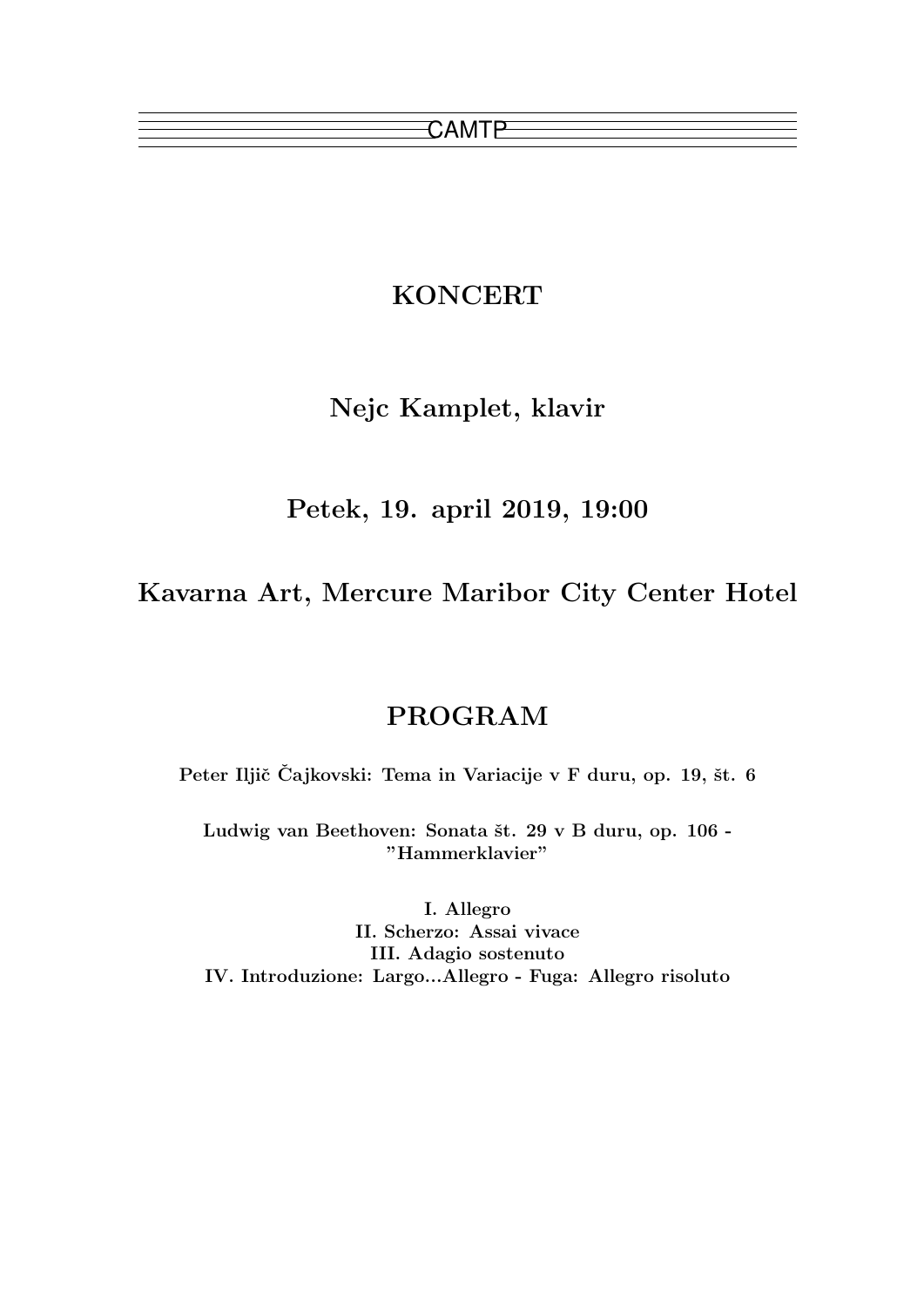## KONCERT

## Nejc Kamplet, klavir

Petek, 19. april 2019, 19:00

Kavarna Art, Mercure Maribor City Center Hotel

## PROGRAM

Peter Iljič Čajkovski: Tema in Variacije v F duru, op. 19, št. 6

Ludwig van Beethoven: Sonata št. 29 v B duru, op. 106 -"Hammerklavier"

I. Allegro II. Scherzo: Assai vivace III. Adagio sostenuto IV. Introduzione: Largo...Allegro - Fuga: Allegro risoluto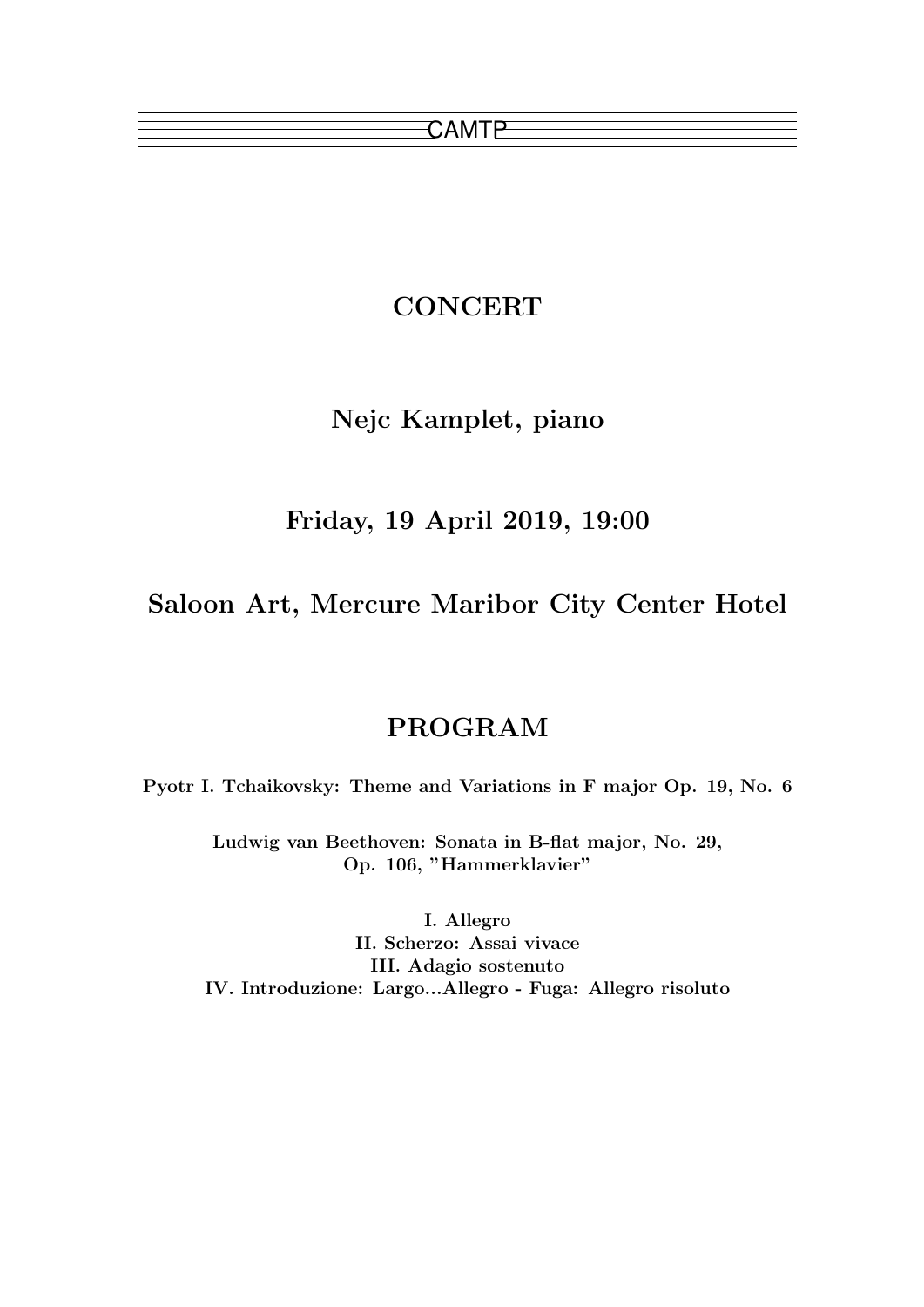# **CONCERT**

# Nejc Kamplet, piano

## Friday, 19 April 2019, 19:00

Saloon Art, Mercure Maribor City Center Hotel

## PROGRAM

Pyotr I. Tchaikovsky: Theme and Variations in F major Op. 19, No. 6

Ludwig van Beethoven: Sonata in B-flat major, No. 29, Op. 106, "Hammerklavier"

I. Allegro II. Scherzo: Assai vivace III. Adagio sostenuto IV. Introduzione: Largo...Allegro - Fuga: Allegro risoluto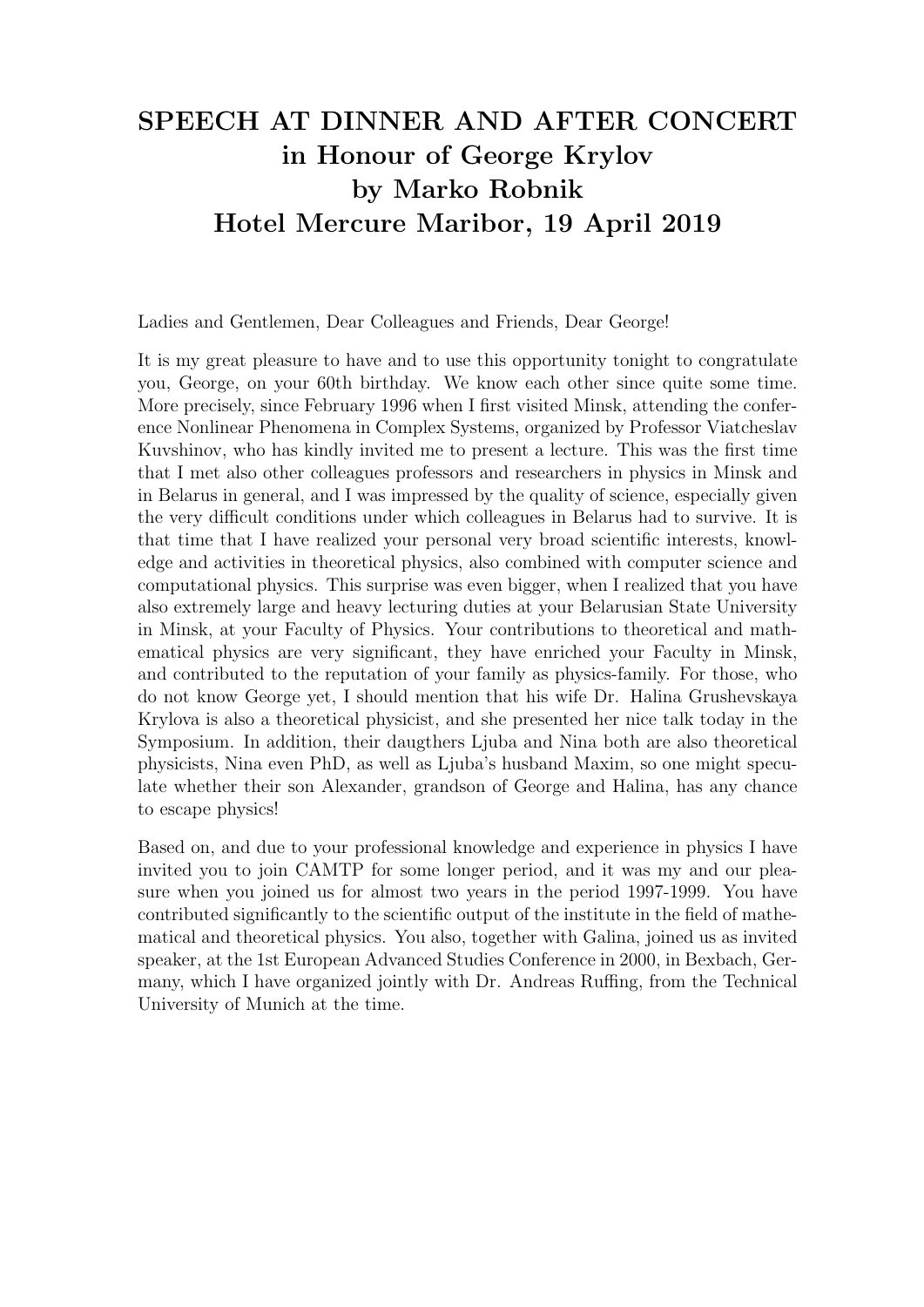# SPEECH AT DINNER AND AFTER CONCERT in Honour of George Krylov by Marko Robnik Hotel Mercure Maribor, 19 April 2019

Ladies and Gentlemen, Dear Colleagues and Friends, Dear George!

It is my great pleasure to have and to use this opportunity tonight to congratulate you, George, on your 60th birthday. We know each other since quite some time. More precisely, since February 1996 when I first visited Minsk, attending the conference Nonlinear Phenomena in Complex Systems, organized by Professor Viatcheslav Kuvshinov, who has kindly invited me to present a lecture. This was the first time that I met also other colleagues professors and researchers in physics in Minsk and in Belarus in general, and I was impressed by the quality of science, especially given the very difficult conditions under which colleagues in Belarus had to survive. It is that time that I have realized your personal very broad scientific interests, knowledge and activities in theoretical physics, also combined with computer science and computational physics. This surprise was even bigger, when I realized that you have also extremely large and heavy lecturing duties at your Belarusian State University in Minsk, at your Faculty of Physics. Your contributions to theoretical and mathematical physics are very significant, they have enriched your Faculty in Minsk, and contributed to the reputation of your family as physics-family. For those, who do not know George yet, I should mention that his wife Dr. Halina Grushevskaya Krylova is also a theoretical physicist, and she presented her nice talk today in the Symposium. In addition, their daugthers Ljuba and Nina both are also theoretical physicists, Nina even PhD, as well as Ljuba's husband Maxim, so one might speculate whether their son Alexander, grandson of George and Halina, has any chance to escape physics!

Based on, and due to your professional knowledge and experience in physics I have invited you to join CAMTP for some longer period, and it was my and our pleasure when you joined us for almost two years in the period 1997-1999. You have contributed significantly to the scientific output of the institute in the field of mathematical and theoretical physics. You also, together with Galina, joined us as invited speaker, at the 1st European Advanced Studies Conference in 2000, in Bexbach, Germany, which I have organized jointly with Dr. Andreas Ruffing, from the Technical University of Munich at the time.